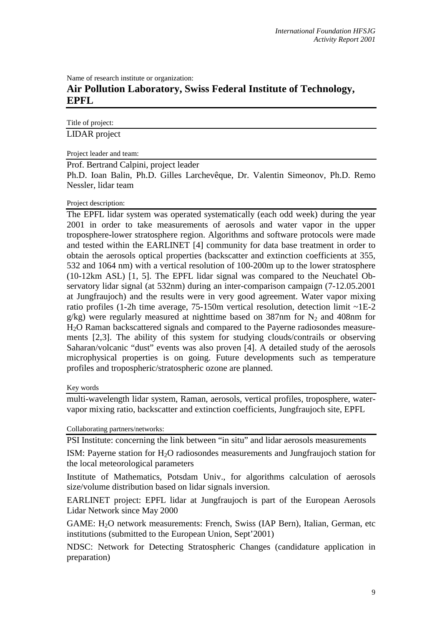Name of research institute or organization:

## **Air Pollution Laboratory, Swiss Federal Institute of Technology, EPFL**

Title of project: LIDAR project

Project leader and team:

Prof. Bertrand Calpini, project leader

Ph.D. Ioan Balin, Ph.D. Gilles Larchevêque, Dr. Valentin Simeonov, Ph.D. Remo Nessler, lidar team

## Project description:

The EPFL lidar system was operated systematically (each odd week) during the year 2001 in order to take measurements of aerosols and water vapor in the upper troposphere-lower stratosphere region. Algorithms and software protocols were made and tested within the EARLINET [4] community for data base treatment in order to obtain the aerosols optical properties (backscatter and extinction coefficients at 355, 532 and 1064 nm) with a vertical resolution of 100-200m up to the lower stratosphere (10-12km ASL) [1, 5]. The EPFL lidar signal was compared to the Neuchatel Observatory lidar signal (at 532nm) during an inter-comparison campaign (7-12.05.2001 at Jungfraujoch) and the results were in very good agreement. Water vapor mixing ratio profiles (1-2h time average, 75-150m vertical resolution, detection limit ~1E-2 g/kg) were regularly measured at nighttime based on 387nm for  $N_2$  and 408nm for H2O Raman backscattered signals and compared to the Payerne radiosondes measurements [2,3]. The ability of this system for studying clouds/contrails or observing Saharan/volcanic "dust" events was also proven [4]. A detailed study of the aerosols microphysical properties is on going. Future developments such as temperature profiles and tropospheric/stratospheric ozone are planned.

## Key words

multi-wavelength lidar system, Raman, aerosols, vertical profiles, troposphere, watervapor mixing ratio, backscatter and extinction coefficients, Jungfraujoch site, EPFL

## Collaborating partners/networks:

PSI Institute: concerning the link between "in situ" and lidar aerosols measurements

ISM: Payerne station for  $H_2O$  radiosondes measurements and Jungfraujoch station for the local meteorological parameters

Institute of Mathematics, Potsdam Univ., for algorithms calculation of aerosols size/volume distribution based on lidar signals inversion.

EARLINET project: EPFL lidar at Jungfraujoch is part of the European Aerosols Lidar Network since May 2000

GAME: H<sub>2</sub>O network measurements: French, Swiss (IAP Bern), Italian, German, etc institutions (submitted to the European Union, Sept'2001)

NDSC: Network for Detecting Stratospheric Changes (candidature application in preparation)